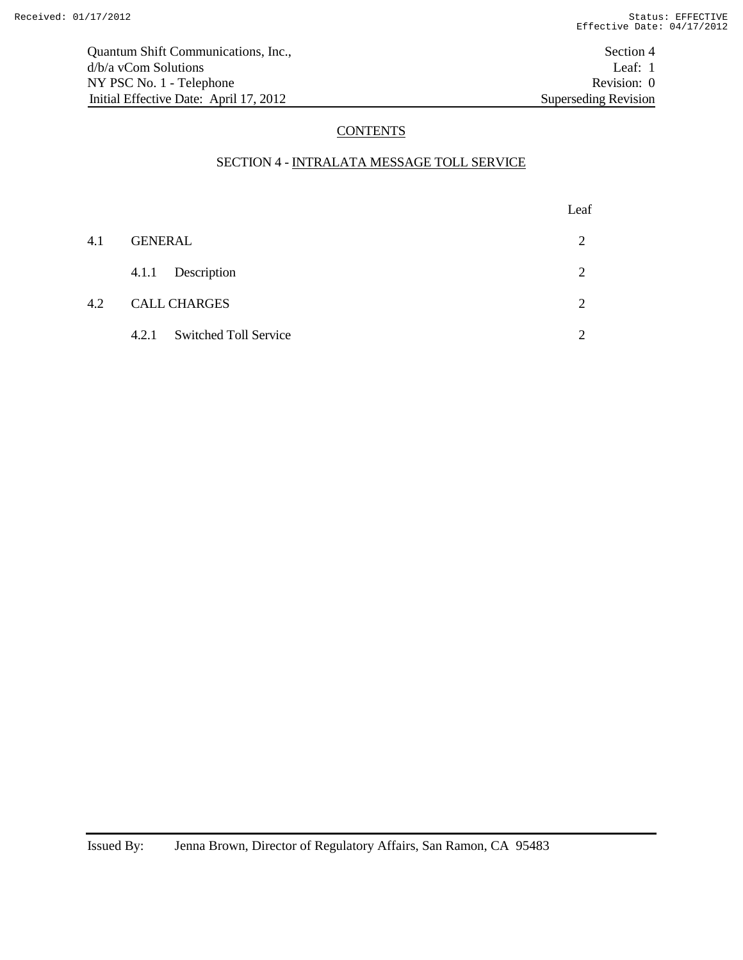# **CONTENTS**

## SECTION 4 - INTRALATA MESSAGE TOLL SERVICE

|     |                             | Leaf     |
|-----|-----------------------------|----------|
| 4.1 | <b>GENERAL</b>              | 2        |
|     | 4.1.1 Description           | 2        |
| 4.2 | <b>CALL CHARGES</b>         | 2        |
|     | 4.2.1 Switched Toll Service | $\gamma$ |